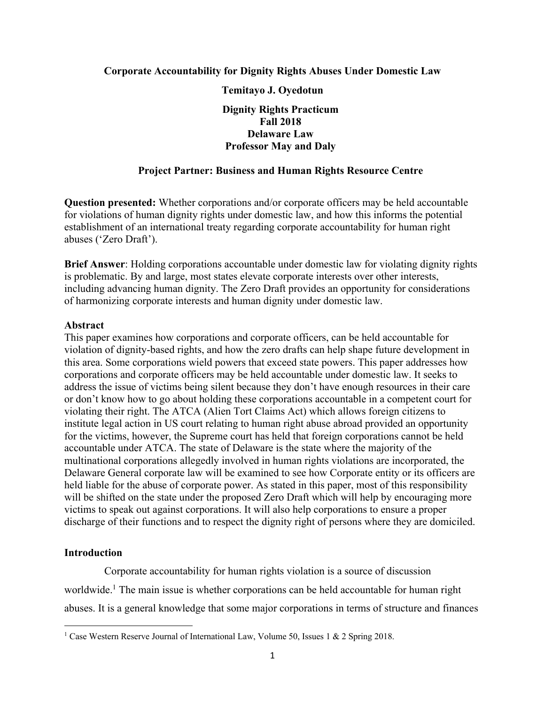## **Corporate Accountability for Dignity Rights Abuses Under Domestic Law Temitayo J. Oyedotun Dignity Rights Practicum Fall 2018 Delaware Law Professor May and Daly**

## **Project Partner: Business and Human Rights Resource Centre**

**Question presented:** Whether corporations and/or corporate officers may be held accountable for violations of human dignity rights under domestic law, and how this informs the potential establishment of an international treaty regarding corporate accountability for human right abuses ('Zero Draft').

**Brief Answer**: Holding corporations accountable under domestic law for violating dignity rights is problematic. By and large, most states elevate corporate interests over other interests, including advancing human dignity. The Zero Draft provides an opportunity for considerations of harmonizing corporate interests and human dignity under domestic law.

### **Abstract**

This paper examines how corporations and corporate officers, can be held accountable for violation of dignity-based rights, and how the zero drafts can help shape future development in this area. Some corporations wield powers that exceed state powers. This paper addresses how corporations and corporate officers may be held accountable under domestic law. It seeks to address the issue of victims being silent because they don't have enough resources in their care or don't know how to go about holding these corporations accountable in a competent court for violating their right. The ATCA (Alien Tort Claims Act) which allows foreign citizens to institute legal action in US court relating to human right abuse abroad provided an opportunity for the victims, however, the Supreme court has held that foreign corporations cannot be held accountable under ATCA. The state of Delaware is the state where the majority of the multinational corporations allegedly involved in human rights violations are incorporated, the Delaware General corporate law will be examined to see how Corporate entity or its officers are held liable for the abuse of corporate power. As stated in this paper, most of this responsibility will be shifted on the state under the proposed Zero Draft which will help by encouraging more victims to speak out against corporations. It will also help corporations to ensure a proper discharge of their functions and to respect the dignity right of persons where they are domiciled.

### **Introduction**

 Corporate accountability for human rights violation is a source of discussion worldwide.<sup>1</sup> The main issue is whether corporations can be held accountable for human right abuses. It is a general knowledge that some major corporations in terms of structure and finances

<sup>&</sup>lt;sup>1</sup> Case Western Reserve Journal of International Law, Volume 50, Issues 1 & 2 Spring 2018.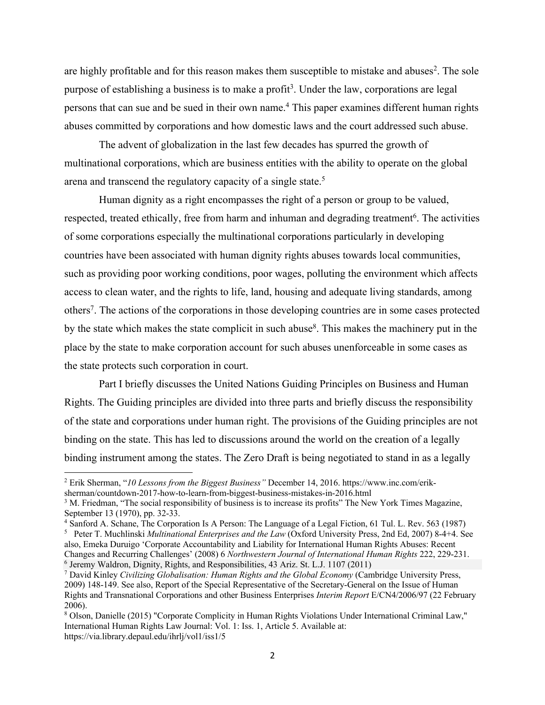are highly profitable and for this reason makes them susceptible to mistake and abuses<sup>2</sup>. The sole purpose of establishing a business is to make a profit<sup>3</sup>. Under the law, corporations are legal persons that can sue and be sued in their own name.4 This paper examines different human rights abuses committed by corporations and how domestic laws and the court addressed such abuse.

 The advent of globalization in the last few decades has spurred the growth of multinational corporations, which are business entities with the ability to operate on the global arena and transcend the regulatory capacity of a single state.<sup>5</sup>

 Human dignity as a right encompasses the right of a person or group to be valued, respected, treated ethically, free from harm and inhuman and degrading treatment<sup>6</sup>. The activities of some corporations especially the multinational corporations particularly in developing countries have been associated with human dignity rights abuses towards local communities, such as providing poor working conditions, poor wages, polluting the environment which affects access to clean water, and the rights to life, land, housing and adequate living standards, among others7. The actions of the corporations in those developing countries are in some cases protected by the state which makes the state complicit in such abuse<sup>8</sup>. This makes the machinery put in the place by the state to make corporation account for such abuses unenforceable in some cases as the state protects such corporation in court.

 Part I briefly discusses the United Nations Guiding Principles on Business and Human Rights. The Guiding principles are divided into three parts and briefly discuss the responsibility of the state and corporations under human right. The provisions of the Guiding principles are not binding on the state. This has led to discussions around the world on the creation of a legally binding instrument among the states. The Zero Draft is being negotiated to stand in as a legally

 <sup>2</sup> Erik Sherman, "*10 Lessons from the Biggest Business"* December 14, 2016. https://www.inc.com/eriksherman/countdown-2017-how-to-learn-from-biggest-business-mistakes-in-2016.html

<sup>&</sup>lt;sup>3</sup> M. Friedman, "The social responsibility of business is to increase its profits" The New York Times Magazine, September 13 (1970), pp. 32-33.

<sup>4</sup> Sanford A. Schane, The Corporation Is A Person: The Language of a Legal Fiction, 61 Tul. L. Rev. 563 (1987)

<sup>5</sup> Peter T. Muchlinski *Multinational Enterprises and the Law* (Oxford University Press, 2nd Ed, 2007) 8-4+4. See also, Emeka Duruigo 'Corporate Accountability and Liability for International Human Rights Abuses: Recent Changes and Recurring Challenges' (2008) 6 *Northwestern Journal of International Human Rights* 222, 229-231. <sup>6</sup> Jeremy Waldron, Dignity, Rights, and Responsibilities, 43 Ariz. St. L.J. 1107 (2011) 7 David Kinley *Civilizing Globalisation: Human Rights and the Global Economy* (Cambridge University Press,

<sup>2009) 148-149.</sup> See also, Report of the Special Representative of the Secretary-General on the Issue of Human Rights and Transnational Corporations and other Business Enterprises *Interim Report* E/CN4/2006/97 (22 February 2006).

<sup>8</sup> Olson, Danielle (2015) "Corporate Complicity in Human Rights Violations Under International Criminal Law," International Human Rights Law Journal: Vol. 1: Iss. 1, Article 5. Available at: https://via.library.depaul.edu/ihrlj/vol1/iss1/5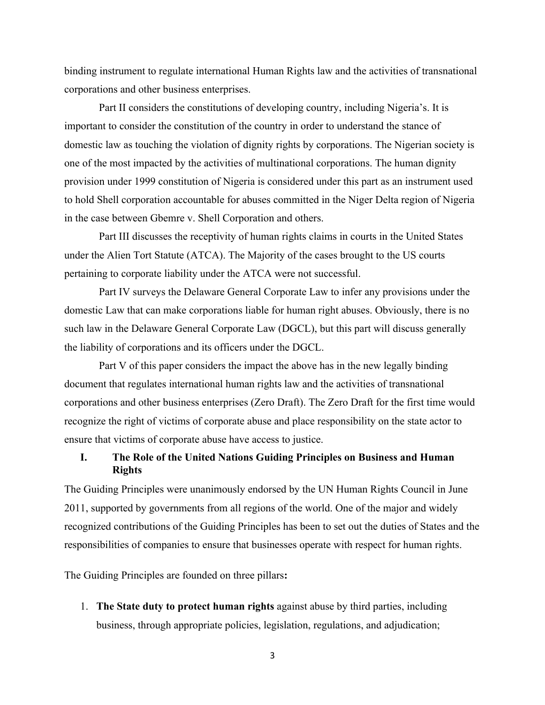binding instrument to regulate international Human Rights law and the activities of transnational corporations and other business enterprises.

 Part II considers the constitutions of developing country, including Nigeria's. It is important to consider the constitution of the country in order to understand the stance of domestic law as touching the violation of dignity rights by corporations. The Nigerian society is one of the most impacted by the activities of multinational corporations. The human dignity provision under 1999 constitution of Nigeria is considered under this part as an instrument used to hold Shell corporation accountable for abuses committed in the Niger Delta region of Nigeria in the case between Gbemre v. Shell Corporation and others.

 Part III discusses the receptivity of human rights claims in courts in the United States under the Alien Tort Statute (ATCA). The Majority of the cases brought to the US courts pertaining to corporate liability under the ATCA were not successful.

 Part IV surveys the Delaware General Corporate Law to infer any provisions under the domestic Law that can make corporations liable for human right abuses. Obviously, there is no such law in the Delaware General Corporate Law (DGCL), but this part will discuss generally the liability of corporations and its officers under the DGCL.

 Part V of this paper considers the impact the above has in the new legally binding document that regulates international human rights law and the activities of transnational corporations and other business enterprises (Zero Draft). The Zero Draft for the first time would recognize the right of victims of corporate abuse and place responsibility on the state actor to ensure that victims of corporate abuse have access to justice.

## **I. The Role of the United Nations Guiding Principles on Business and Human Rights**

The Guiding Principles were unanimously endorsed by the UN Human Rights Council in June 2011, supported by governments from all regions of the world. One of the major and widely recognized contributions of the Guiding Principles has been to set out the duties of States and the responsibilities of companies to ensure that businesses operate with respect for human rights.

The Guiding Principles are founded on three pillars**:**

1. **The State duty to protect human rights** against abuse by third parties, including business, through appropriate policies, legislation, regulations, and adjudication;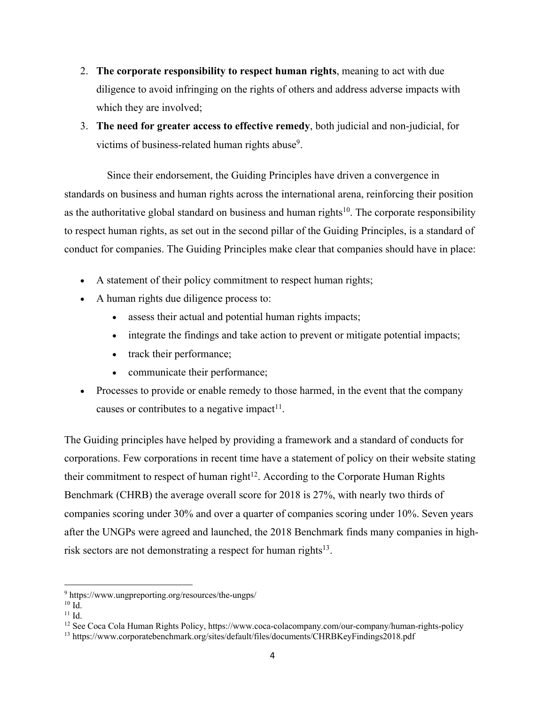- 2. **The corporate responsibility to respect human rights**, meaning to act with due diligence to avoid infringing on the rights of others and address adverse impacts with which they are involved;
- 3. **The need for greater access to effective remedy**, both judicial and non-judicial, for victims of business-related human rights abuse<sup>9</sup>.

 Since their endorsement, the Guiding Principles have driven a convergence in standards on business and human rights across the international arena, reinforcing their position as the authoritative global standard on business and human rights<sup>10</sup>. The corporate responsibility to respect human rights, as set out in the second pillar of the Guiding Principles, is a standard of conduct for companies. The Guiding Principles make clear that companies should have in place:

- A statement of their policy commitment to respect human rights;
- A human rights due diligence process to:
	- assess their actual and potential human rights impacts;
	- integrate the findings and take action to prevent or mitigate potential impacts;
	- track their performance;
	- communicate their performance;
- Processes to provide or enable remedy to those harmed, in the event that the company causes or contributes to a negative impact<sup>11</sup>.

The Guiding principles have helped by providing a framework and a standard of conducts for corporations. Few corporations in recent time have a statement of policy on their website stating their commitment to respect of human right<sup>12</sup>. According to the Corporate Human Rights Benchmark (CHRB) the average overall score for 2018 is 27%, with nearly two thirds of companies scoring under 30% and over a quarter of companies scoring under 10%. Seven years after the UNGPs were agreed and launched, the 2018 Benchmark finds many companies in highrisk sectors are not demonstrating a respect for human rights<sup>13</sup>.

 <sup>9</sup> https://www.ungpreporting.org/resources/the-ungps/

 $10 \overline{\mathsf{Id}}$ 

 $11$  Id.

<sup>12</sup> See Coca Cola Human Rights Policy, https://www.coca-colacompany.com/our-company/human-rights-policy

<sup>13</sup> https://www.corporatebenchmark.org/sites/default/files/documents/CHRBKeyFindings2018.pdf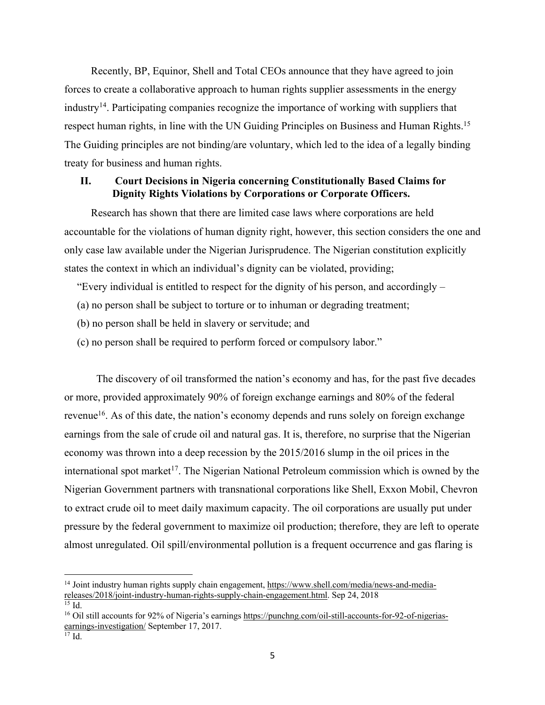Recently, BP, Equinor, Shell and Total CEOs announce that they have agreed to join forces to create a collaborative approach to human rights supplier assessments in the energy industry<sup>14</sup>. Participating companies recognize the importance of working with suppliers that respect human rights, in line with the UN Guiding Principles on Business and Human Rights.<sup>15</sup> The Guiding principles are not binding/are voluntary, which led to the idea of a legally binding treaty for business and human rights.

## **II. Court Decisions in Nigeria concerning Constitutionally Based Claims for Dignity Rights Violations by Corporations or Corporate Officers.**

 Research has shown that there are limited case laws where corporations are held accountable for the violations of human dignity right, however, this section considers the one and only case law available under the Nigerian Jurisprudence. The Nigerian constitution explicitly states the context in which an individual's dignity can be violated, providing;

"Every individual is entitled to respect for the dignity of his person, and accordingly –

- (a) no person shall be subject to torture or to inhuman or degrading treatment;
- (b) no person shall be held in slavery or servitude; and
- (c) no person shall be required to perform forced or compulsory labor."

 The discovery of oil transformed the nation's economy and has, for the past five decades or more, provided approximately 90% of foreign exchange earnings and 80% of the federal revenue<sup>16</sup>. As of this date, the nation's economy depends and runs solely on foreign exchange earnings from the sale of crude oil and natural gas. It is, therefore, no surprise that the Nigerian economy was thrown into a deep recession by the 2015/2016 slump in the oil prices in the international spot market<sup>17</sup>. The Nigerian National Petroleum commission which is owned by the Nigerian Government partners with transnational corporations like Shell, Exxon Mobil, Chevron to extract crude oil to meet daily maximum capacity. The oil corporations are usually put under pressure by the federal government to maximize oil production; therefore, they are left to operate almost unregulated. Oil spill/environmental pollution is a frequent occurrence and gas flaring is

 <sup>14</sup> Joint industry human rights supply chain engagement, https://www.shell.com/media/news-and-mediareleases/2018/joint-industry-human-rights-supply-chain-engagement.html. Sep 24, 2018  $15$  Id.

<sup>16</sup> Oil still accounts for 92% of Nigeria's earnings https://punchng.com/oil-still-accounts-for-92-of-nigeriasearnings-investigation/September 17, 2017.

<sup>17</sup> Id.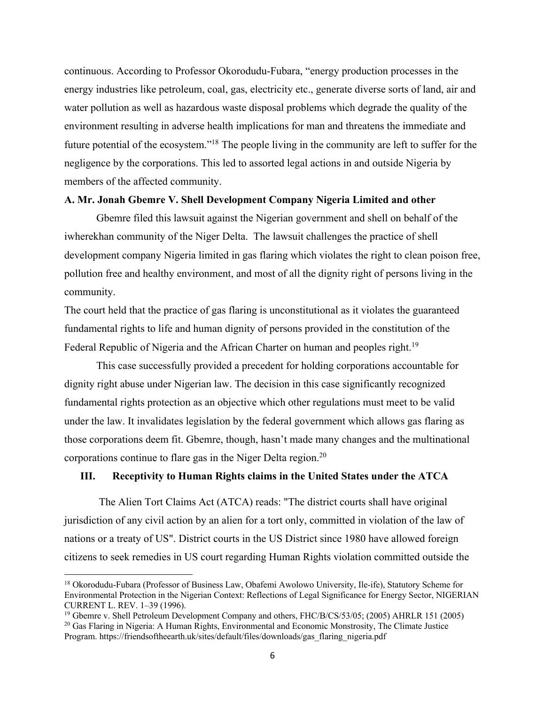continuous. According to Professor Okorodudu-Fubara, "energy production processes in the energy industries like petroleum, coal, gas, electricity etc., generate diverse sorts of land, air and water pollution as well as hazardous waste disposal problems which degrade the quality of the environment resulting in adverse health implications for man and threatens the immediate and future potential of the ecosystem."18 The people living in the community are left to suffer for the negligence by the corporations. This led to assorted legal actions in and outside Nigeria by members of the affected community.

## **A. Mr. Jonah Gbemre V. Shell Development Company Nigeria Limited and other**

 Gbemre filed this lawsuit against the Nigerian government and shell on behalf of the iwherekhan community of the Niger Delta. The lawsuit challenges the practice of shell development company Nigeria limited in gas flaring which violates the right to clean poison free, pollution free and healthy environment, and most of all the dignity right of persons living in the community.

The court held that the practice of gas flaring is unconstitutional as it violates the guaranteed fundamental rights to life and human dignity of persons provided in the constitution of the Federal Republic of Nigeria and the African Charter on human and peoples right.<sup>19</sup>

 This case successfully provided a precedent for holding corporations accountable for dignity right abuse under Nigerian law. The decision in this case significantly recognized fundamental rights protection as an objective which other regulations must meet to be valid under the law. It invalidates legislation by the federal government which allows gas flaring as those corporations deem fit. Gbemre, though, hasn't made many changes and the multinational corporations continue to flare gas in the Niger Delta region.20

### **III. Receptivity to Human Rights claims in the United States under the ATCA**

 The Alien Tort Claims Act (ATCA) reads: "The district courts shall have original jurisdiction of any civil action by an alien for a tort only, committed in violation of the law of nations or a treaty of US". District courts in the US District since 1980 have allowed foreign citizens to seek remedies in US court regarding Human Rights violation committed outside the

 <sup>18</sup> Okorodudu-Fubara (Professor of Business Law, Obafemi Awolowo University, Ile-ife), Statutory Scheme for Environmental Protection in the Nigerian Context: Reflections of Legal Significance for Energy Sector, NIGERIAN CURRENT L. REV. 1–39 (1996).

<sup>19</sup> Gbemre v. Shell Petroleum Development Company and others, FHC/B/CS/53/05; (2005) AHRLR 151 (2005) <sup>20</sup> Gas Flaring in Nigeria: A Human Rights, Environmental and Economic Monstrosity, The Climate Justice Program. https://friendsoftheearth.uk/sites/default/files/downloads/gas\_flaring\_nigeria.pdf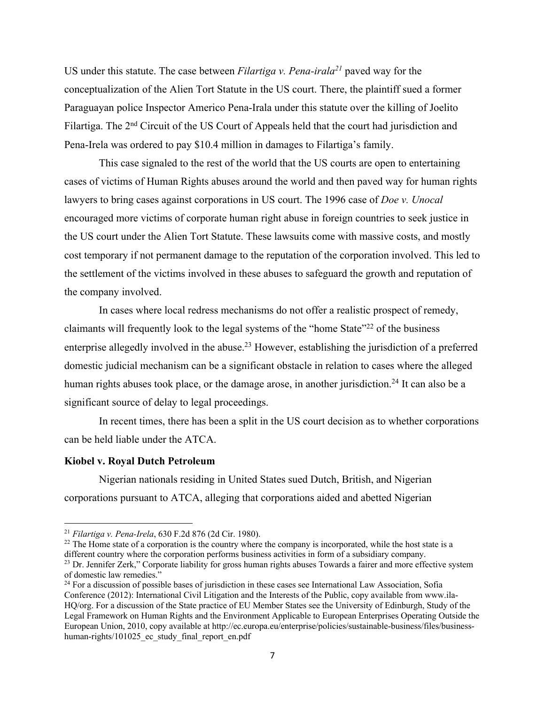US under this statute. The case between *Filartiga v. Pena-irala21* paved way for the conceptualization of the Alien Tort Statute in the US court. There, the plaintiff sued a former Paraguayan police Inspector Americo Pena-Irala under this statute over the killing of Joelito Filartiga. The 2<sup>nd</sup> Circuit of the US Court of Appeals held that the court had jurisdiction and Pena-Irela was ordered to pay \$10.4 million in damages to Filartiga's family.

 This case signaled to the rest of the world that the US courts are open to entertaining cases of victims of Human Rights abuses around the world and then paved way for human rights lawyers to bring cases against corporations in US court. The 1996 case of *Doe v. Unocal* encouraged more victims of corporate human right abuse in foreign countries to seek justice in the US court under the Alien Tort Statute. These lawsuits come with massive costs, and mostly cost temporary if not permanent damage to the reputation of the corporation involved. This led to the settlement of the victims involved in these abuses to safeguard the growth and reputation of the company involved.

 In cases where local redress mechanisms do not offer a realistic prospect of remedy, claimants will frequently look to the legal systems of the "home State"22 of the business enterprise allegedly involved in the abuse.<sup>23</sup> However, establishing the jurisdiction of a preferred domestic judicial mechanism can be a significant obstacle in relation to cases where the alleged human rights abuses took place, or the damage arose, in another jurisdiction.<sup>24</sup> It can also be a significant source of delay to legal proceedings.

 In recent times, there has been a split in the US court decision as to whether corporations can be held liable under the ATCA.

### **Kiobel v. Royal Dutch Petroleum**

 Nigerian nationals residing in United States sued Dutch, British, and Nigerian corporations pursuant to ATCA, alleging that corporations aided and abetted Nigerian

 <sup>21</sup> *Filartiga v. Pena-Irela*, 630 F.2d 876 (2d Cir. 1980).

<sup>&</sup>lt;sup>22</sup> The Home state of a corporation is the country where the company is incorporated, while the host state is a different country where the corporation performs business activities in form of a subsidiary company.

<sup>&</sup>lt;sup>23</sup> Dr. Jennifer Zerk," Corporate liability for gross human rights abuses Towards a fairer and more effective system of domestic law remedies."

<sup>&</sup>lt;sup>24</sup> For a discussion of possible bases of jurisdiction in these cases see International Law Association, Sofia Conference (2012): International Civil Litigation and the Interests of the Public, copy available from www.ila-HQ/org. For a discussion of the State practice of EU Member States see the University of Edinburgh, Study of the Legal Framework on Human Rights and the Environment Applicable to European Enterprises Operating Outside the European Union, 2010, copy available at http://ec.europa.eu/enterprise/policies/sustainable-business/files/businesshuman-rights/101025\_ec\_study\_final\_report\_en.pdf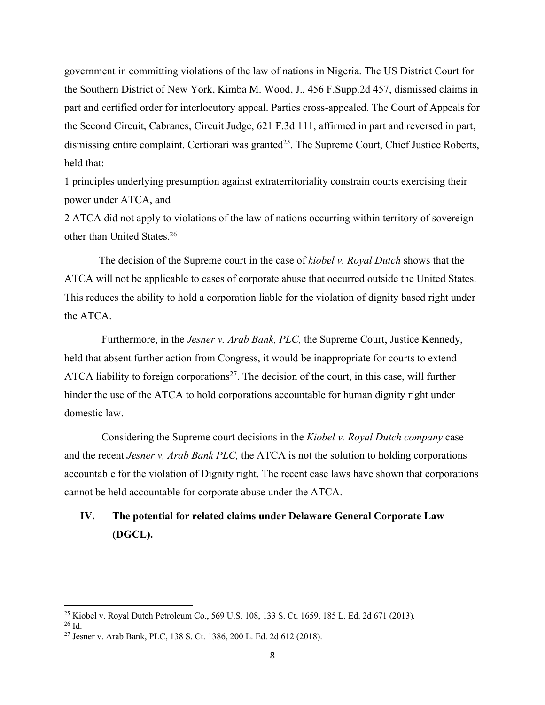government in committing violations of the law of nations in Nigeria. The US District Court for the Southern District of New York, Kimba M. Wood, J., 456 F.Supp.2d 457, dismissed claims in part and certified order for interlocutory appeal. Parties cross-appealed. The Court of Appeals for the Second Circuit, Cabranes, Circuit Judge, 621 F.3d 111, affirmed in part and reversed in part, dismissing entire complaint. Certiorari was granted<sup>25</sup>. The Supreme Court, Chief Justice Roberts, held that:

1 principles underlying presumption against extraterritoriality constrain courts exercising their power under ATCA, and

2 ATCA did not apply to violations of the law of nations occurring within territory of sovereign other than United States.26

 The decision of the Supreme court in the case of *kiobel v. Royal Dutch* shows that the ATCA will not be applicable to cases of corporate abuse that occurred outside the United States. This reduces the ability to hold a corporation liable for the violation of dignity based right under the ATCA.

 Furthermore, in the *Jesner v. Arab Bank, PLC,* the Supreme Court, Justice Kennedy, held that absent further action from Congress, it would be inappropriate for courts to extend ATCA liability to foreign corporations<sup>27</sup>. The decision of the court, in this case, will further hinder the use of the ATCA to hold corporations accountable for human dignity right under domestic law.

 Considering the Supreme court decisions in the *Kiobel v. Royal Dutch company* case and the recent *Jesner v, Arab Bank PLC,* the ATCA is not the solution to holding corporations accountable for the violation of Dignity right. The recent case laws have shown that corporations cannot be held accountable for corporate abuse under the ATCA.

# **IV. The potential for related claims under Delaware General Corporate Law (DGCL).**

 <sup>25</sup> Kiobel v. Royal Dutch Petroleum Co., 569 U.S. 108, 133 S. Ct. 1659, 185 L. Ed. 2d 671 (2013).

<sup>26</sup> Id.

<sup>27</sup> Jesner v. Arab Bank, PLC, 138 S. Ct. 1386, 200 L. Ed. 2d 612 (2018).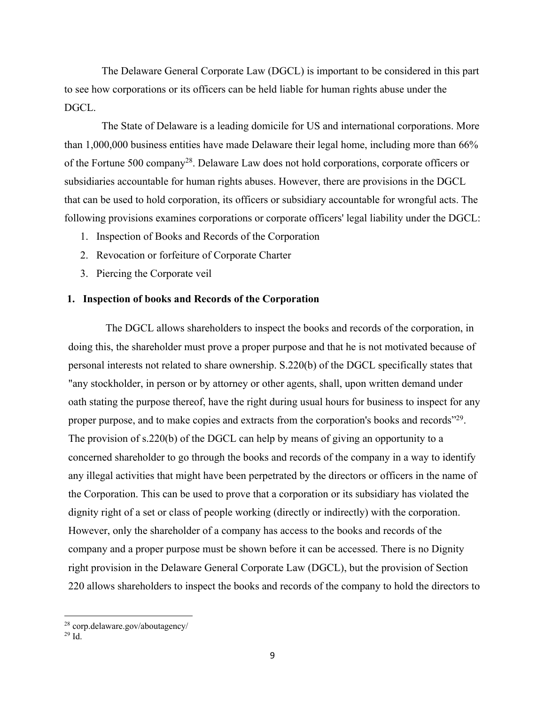The Delaware General Corporate Law (DGCL) is important to be considered in this part to see how corporations or its officers can be held liable for human rights abuse under the DGCL.

 The State of Delaware is a leading domicile for US and international corporations. More than 1,000,000 business entities have made Delaware their legal home, including more than 66% of the Fortune 500 company28. Delaware Law does not hold corporations, corporate officers or subsidiaries accountable for human rights abuses. However, there are provisions in the DGCL that can be used to hold corporation, its officers or subsidiary accountable for wrongful acts. The following provisions examines corporations or corporate officers' legal liability under the DGCL:

- 1. Inspection of Books and Records of the Corporation
- 2. Revocation or forfeiture of Corporate Charter
- 3. Piercing the Corporate veil

### **1. Inspection of books and Records of the Corporation**

 The DGCL allows shareholders to inspect the books and records of the corporation, in doing this, the shareholder must prove a proper purpose and that he is not motivated because of personal interests not related to share ownership. S.220(b) of the DGCL specifically states that "any stockholder, in person or by attorney or other agents, shall, upon written demand under oath stating the purpose thereof, have the right during usual hours for business to inspect for any proper purpose, and to make copies and extracts from the corporation's books and records"<sup>29</sup>. The provision of s.220(b) of the DGCL can help by means of giving an opportunity to a concerned shareholder to go through the books and records of the company in a way to identify any illegal activities that might have been perpetrated by the directors or officers in the name of the Corporation. This can be used to prove that a corporation or its subsidiary has violated the dignity right of a set or class of people working (directly or indirectly) with the corporation. However, only the shareholder of a company has access to the books and records of the company and a proper purpose must be shown before it can be accessed. There is no Dignity right provision in the Delaware General Corporate Law (DGCL), but the provision of Section 220 allows shareholders to inspect the books and records of the company to hold the directors to

 <sup>28</sup> corp.delaware.gov/aboutagency/

 $29$  Id.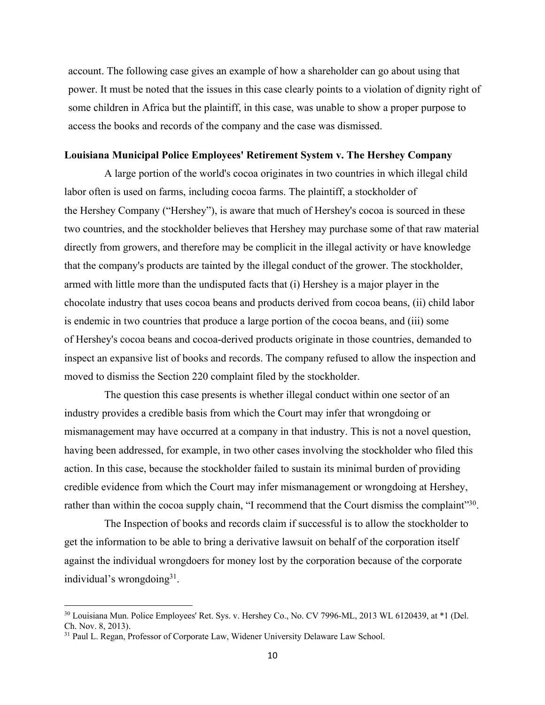account. The following case gives an example of how a shareholder can go about using that power. It must be noted that the issues in this case clearly points to a violation of dignity right of some children in Africa but the plaintiff, in this case, was unable to show a proper purpose to access the books and records of the company and the case was dismissed.

#### **Louisiana Municipal Police Employees' Retirement System v. The Hershey Company**

 A large portion of the world's cocoa originates in two countries in which illegal child labor often is used on farms, including cocoa farms. The plaintiff, a stockholder of the Hershey Company ("Hershey"), is aware that much of Hershey's cocoa is sourced in these two countries, and the stockholder believes that Hershey may purchase some of that raw material directly from growers, and therefore may be complicit in the illegal activity or have knowledge that the company's products are tainted by the illegal conduct of the grower. The stockholder, armed with little more than the undisputed facts that (i) Hershey is a major player in the chocolate industry that uses cocoa beans and products derived from cocoa beans, (ii) child labor is endemic in two countries that produce a large portion of the cocoa beans, and (iii) some of Hershey's cocoa beans and cocoa-derived products originate in those countries, demanded to inspect an expansive list of books and records. The company refused to allow the inspection and moved to dismiss the Section 220 complaint filed by the stockholder.

 The question this case presents is whether illegal conduct within one sector of an industry provides a credible basis from which the Court may infer that wrongdoing or mismanagement may have occurred at a company in that industry. This is not a novel question, having been addressed, for example, in two other cases involving the stockholder who filed this action. In this case, because the stockholder failed to sustain its minimal burden of providing credible evidence from which the Court may infer mismanagement or wrongdoing at Hershey, rather than within the cocoa supply chain, "I recommend that the Court dismiss the complaint"<sup>30</sup>.

 The Inspection of books and records claim if successful is to allow the stockholder to get the information to be able to bring a derivative lawsuit on behalf of the corporation itself against the individual wrongdoers for money lost by the corporation because of the corporate individual's wrongdoing $3^1$ .

 <sup>30</sup> Louisiana Mun. Police Employees' Ret. Sys. v. Hershey Co., No. CV 7996-ML, 2013 WL 6120439, at \*1 (Del. Ch. Nov. 8, 2013).

<sup>&</sup>lt;sup>31</sup> Paul L. Regan, Professor of Corporate Law, Widener University Delaware Law School.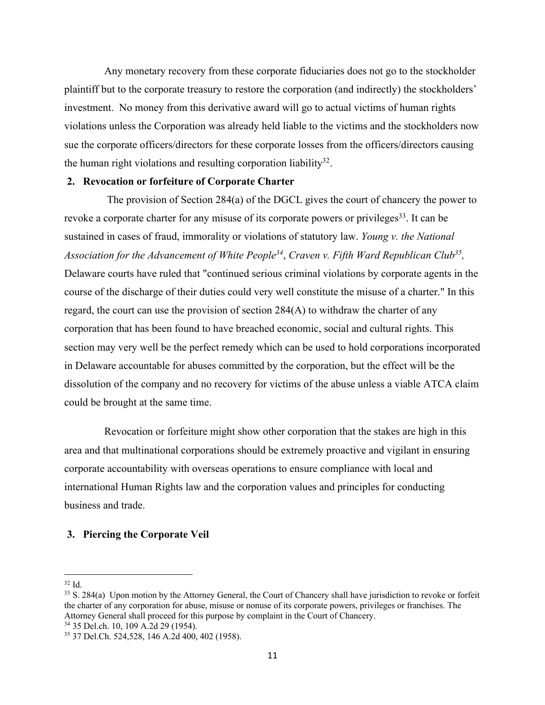Any monetary recovery from these corporate fiduciaries does not go to the stockholder plaintiff but to the corporate treasury to restore the corporation (and indirectly) the stockholders' investment. No money from this derivative award will go to actual victims of human rights violations unless the Corporation was already held liable to the victims and the stockholders now sue the corporate officers/directors for these corporate losses from the officers/directors causing the human right violations and resulting corporation liability<sup>32</sup>.

### **2. Revocation or forfeiture of Corporate Charter**

 The provision of Section 284(a) of the DGCL gives the court of chancery the power to revoke a corporate charter for any misuse of its corporate powers or privileges<sup>33</sup>. It can be sustained in cases of fraud, immorality or violations of statutory law. *Young v. the National Association for the Advancement of White People34*, *Craven v. Fifth Ward Republican Club35,*  Delaware courts have ruled that "continued serious criminal violations by corporate agents in the course of the discharge of their duties could very well constitute the misuse of a charter." In this regard, the court can use the provision of section 284(A) to withdraw the charter of any corporation that has been found to have breached economic, social and cultural rights. This section may very well be the perfect remedy which can be used to hold corporations incorporated in Delaware accountable for abuses committed by the corporation, but the effect will be the dissolution of the company and no recovery for victims of the abuse unless a viable ATCA claim could be brought at the same time.

 Revocation or forfeiture might show other corporation that the stakes are high in this area and that multinational corporations should be extremely proactive and vigilant in ensuring corporate accountability with overseas operations to ensure compliance with local and international Human Rights law and the corporation values and principles for conducting business and trade.

### **3. Piercing the Corporate Veil**

<sup>34</sup> 35 Del.ch. 10, 109 A.2d 29 (1954).

 <sup>32</sup> Id.

<sup>33</sup> S. 284(a) Upon motion by the Attorney General, the Court of Chancery shall have jurisdiction to revoke or forfeit the charter of any corporation for abuse, misuse or nonuse of its corporate powers, privileges or franchises. The Attorney General shall proceed for this purpose by complaint in the Court of Chancery.

<sup>35</sup> 37 Del.Ch. 524,528, 146 A.2d 400, 402 (1958).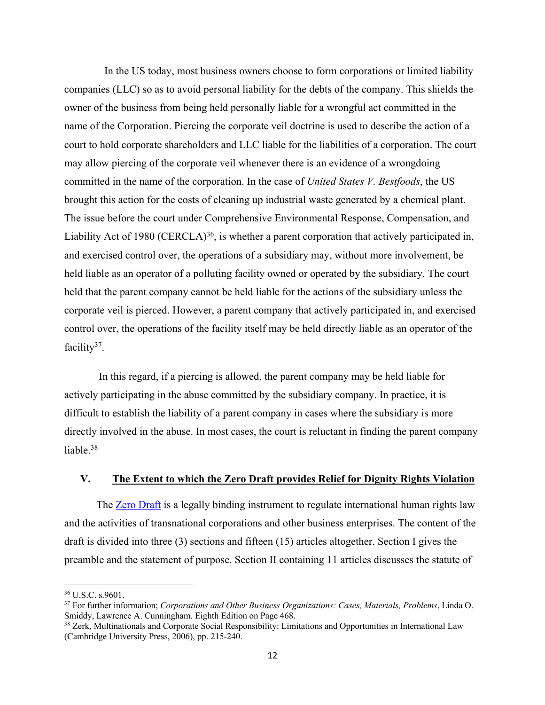In the US today, most business owners choose to form corporations or limited liability companies (LLC) so as to avoid personal liability for the debts of the company. This shields the owner of the business from being held personally liable for a wrongful act committed in the name of the Corporation. Piercing the corporate veil doctrine is used to describe the action of a court to hold corporate shareholders and LLC liable for the liabilities of a corporation. The court may allow piercing of the corporate veil whenever there is an evidence of a wrongdoing committed in the name of the corporation. In the case of *United States V. Bestfoods*, the US brought this action for the costs of cleaning up industrial waste generated by a chemical plant. The issue before the court under Comprehensive Environmental Response, Compensation, and Liability Act of 1980 (CERCLA)<sup>36</sup>, is whether a parent corporation that actively participated in, and exercised control over, the operations of a subsidiary may, without more involvement, be held liable as an operator of a polluting facility owned or operated by the subsidiary. The court held that the parent company cannot be held liable for the actions of the subsidiary unless the corporate veil is pierced. However, a parent company that actively participated in, and exercised control over, the operations of the facility itself may be held directly liable as an operator of the facility $37$ .

 In this regard, if a piercing is allowed, the parent company may be held liable for actively participating in the abuse committed by the subsidiary company. In practice, it is difficult to establish the liability of a parent company in cases where the subsidiary is more directly involved in the abuse. In most cases, the court is reluctant in finding the parent company liable. 38

### **V. The Extent to which the Zero Draft provides Relief for Dignity Rights Violation**

 The Zero Draft is a legally binding instrument to regulate international human rights law and the activities of transnational corporations and other business enterprises. The content of the draft is divided into three (3) sections and fifteen (15) articles altogether. Section I gives the preamble and the statement of purpose. Section II containing 11 articles discusses the statute of

 <sup>36</sup> U.S.C. s.9601.

<sup>37</sup> For further information; *Corporations and Other Business Organizations: Cases, Materials, Problems*, Linda O. Smiddy, Lawrence A. Cunningham. Eighth Edition on Page 468.

<sup>&</sup>lt;sup>38</sup> Zerk, Multinationals and Corporate Social Responsibility: Limitations and Opportunities in International Law (Cambridge University Press, 2006), pp. 215-240.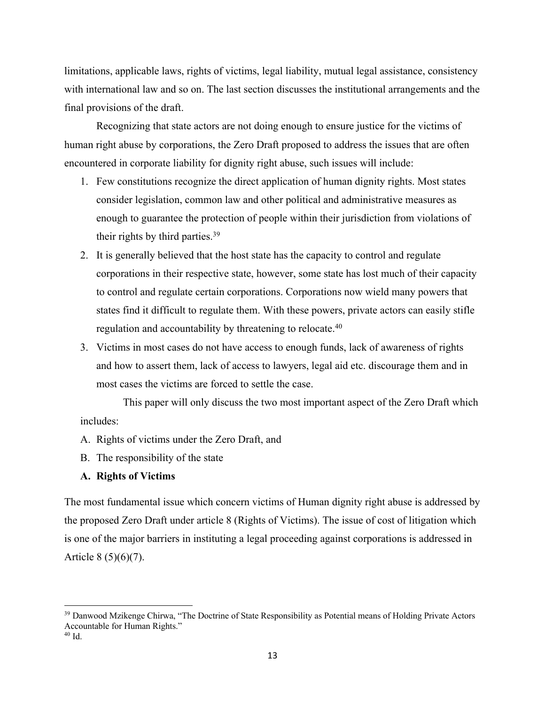limitations, applicable laws, rights of victims, legal liability, mutual legal assistance, consistency with international law and so on. The last section discusses the institutional arrangements and the final provisions of the draft.

 Recognizing that state actors are not doing enough to ensure justice for the victims of human right abuse by corporations, the Zero Draft proposed to address the issues that are often encountered in corporate liability for dignity right abuse, such issues will include:

- 1. Few constitutions recognize the direct application of human dignity rights. Most states consider legislation, common law and other political and administrative measures as enough to guarantee the protection of people within their jurisdiction from violations of their rights by third parties.39
- 2. It is generally believed that the host state has the capacity to control and regulate corporations in their respective state, however, some state has lost much of their capacity to control and regulate certain corporations. Corporations now wield many powers that states find it difficult to regulate them. With these powers, private actors can easily stifle regulation and accountability by threatening to relocate.<sup>40</sup>
- 3. Victims in most cases do not have access to enough funds, lack of awareness of rights and how to assert them, lack of access to lawyers, legal aid etc. discourage them and in most cases the victims are forced to settle the case.

 This paper will only discuss the two most important aspect of the Zero Draft which includes:

- A. Rights of victims under the Zero Draft, and
- B. The responsibility of the state

## **A. Rights of Victims**

The most fundamental issue which concern victims of Human dignity right abuse is addressed by the proposed Zero Draft under article 8 (Rights of Victims). The issue of cost of litigation which is one of the major barriers in instituting a legal proceeding against corporations is addressed in Article 8 (5)(6)(7).

<sup>&</sup>lt;sup>39</sup> Danwood Mzikenge Chirwa, "The Doctrine of State Responsibility as Potential means of Holding Private Actors Accountable for Human Rights."  $40$  Id.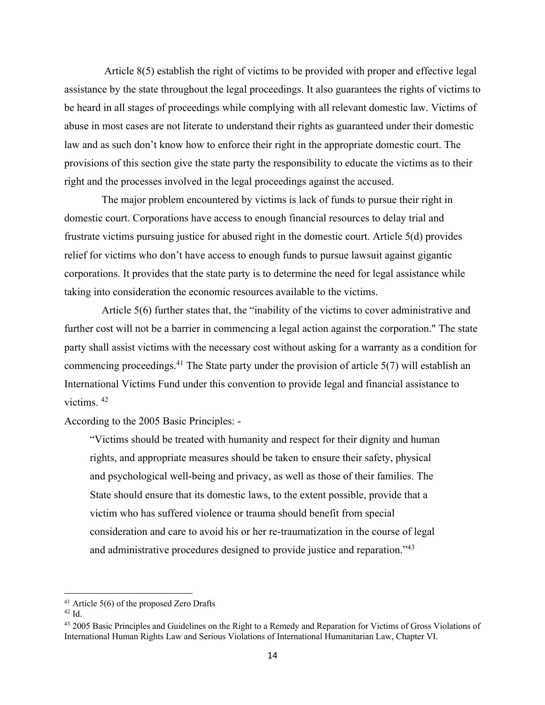Article 8(5) establish the right of victims to be provided with proper and effective legal assistance by the state throughout the legal proceedings. It also guarantees the rights of victims to be heard in all stages of proceedings while complying with all relevant domestic law. Victims of abuse in most cases are not literate to understand their rights as guaranteed under their domestic law and as such don't know how to enforce their right in the appropriate domestic court. The provisions of this section give the state party the responsibility to educate the victims as to their right and the processes involved in the legal proceedings against the accused.

 The major problem encountered by victims is lack of funds to pursue their right in domestic court. Corporations have access to enough financial resources to delay trial and frustrate victims pursuing justice for abused right in the domestic court. Article 5(d) provides relief for victims who don't have access to enough funds to pursue lawsuit against gigantic corporations. It provides that the state party is to determine the need for legal assistance while taking into consideration the economic resources available to the victims.

 Article 5(6) further states that, the "inability of the victims to cover administrative and further cost will not be a barrier in commencing a legal action against the corporation." The state party shall assist victims with the necessary cost without asking for a warranty as a condition for commencing proceedings.<sup>41</sup> The State party under the provision of article  $5(7)$  will establish an International Victims Fund under this convention to provide legal and financial assistance to victims. 42

According to the 2005 Basic Principles: -

"Victims should be treated with humanity and respect for their dignity and human rights, and appropriate measures should be taken to ensure their safety, physical and psychological well-being and privacy, as well as those of their families. The State should ensure that its domestic laws, to the extent possible, provide that a victim who has suffered violence or trauma should benefit from special consideration and care to avoid his or her re-traumatization in the course of legal and administrative procedures designed to provide justice and reparation."43

 $41$  Article 5(6) of the proposed Zero Drafts

<sup>42</sup> Id.

<sup>&</sup>lt;sup>43</sup> 2005 Basic Principles and Guidelines on the Right to a Remedy and Reparation for Victims of Gross Violations of International Human Rights Law and Serious Violations of International Humanitarian Law, Chapter VI.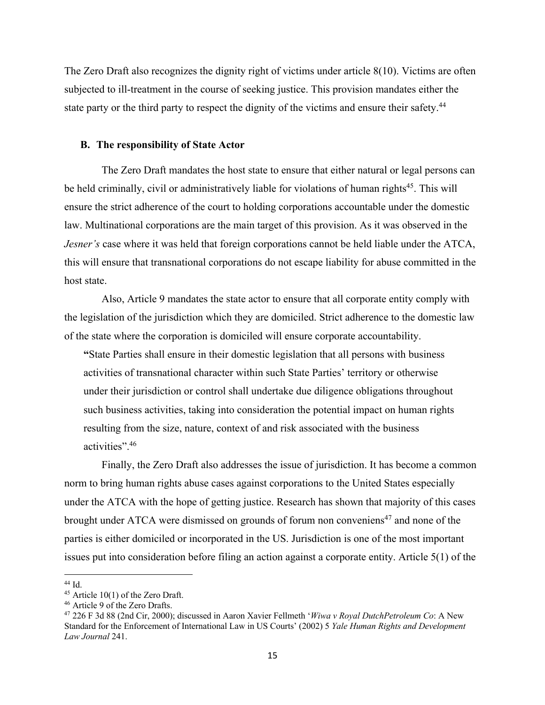The Zero Draft also recognizes the dignity right of victims under article 8(10). Victims are often subjected to ill-treatment in the course of seeking justice. This provision mandates either the state party or the third party to respect the dignity of the victims and ensure their safety.<sup>44</sup>

### **B. The responsibility of State Actor**

 The Zero Draft mandates the host state to ensure that either natural or legal persons can be held criminally, civil or administratively liable for violations of human rights<sup>45</sup>. This will ensure the strict adherence of the court to holding corporations accountable under the domestic law. Multinational corporations are the main target of this provision. As it was observed in the *Jesner's* case where it was held that foreign corporations cannot be held liable under the ATCA, this will ensure that transnational corporations do not escape liability for abuse committed in the host state.

 Also, Article 9 mandates the state actor to ensure that all corporate entity comply with the legislation of the jurisdiction which they are domiciled. Strict adherence to the domestic law of the state where the corporation is domiciled will ensure corporate accountability.

**"**State Parties shall ensure in their domestic legislation that all persons with business activities of transnational character within such State Parties' territory or otherwise under their jurisdiction or control shall undertake due diligence obligations throughout such business activities, taking into consideration the potential impact on human rights resulting from the size, nature, context of and risk associated with the business activities".46

 Finally, the Zero Draft also addresses the issue of jurisdiction. It has become a common norm to bring human rights abuse cases against corporations to the United States especially under the ATCA with the hope of getting justice. Research has shown that majority of this cases brought under ATCA were dismissed on grounds of forum non conveniens<sup>47</sup> and none of the parties is either domiciled or incorporated in the US. Jurisdiction is one of the most important issues put into consideration before filing an action against a corporate entity. Article 5(1) of the

44 Id.

 $45$  Article 10(1) of the Zero Draft.

<sup>46</sup> Article 9 of the Zero Drafts.

<sup>47</sup> 226 F 3d 88 (2nd Cir, 2000); discussed in Aaron Xavier Fellmeth '*Wiwa v Royal DutchPetroleum Co*: A New Standard for the Enforcement of International Law in US Courts' (2002) 5 *Yale Human Rights and Development Law Journal* 241.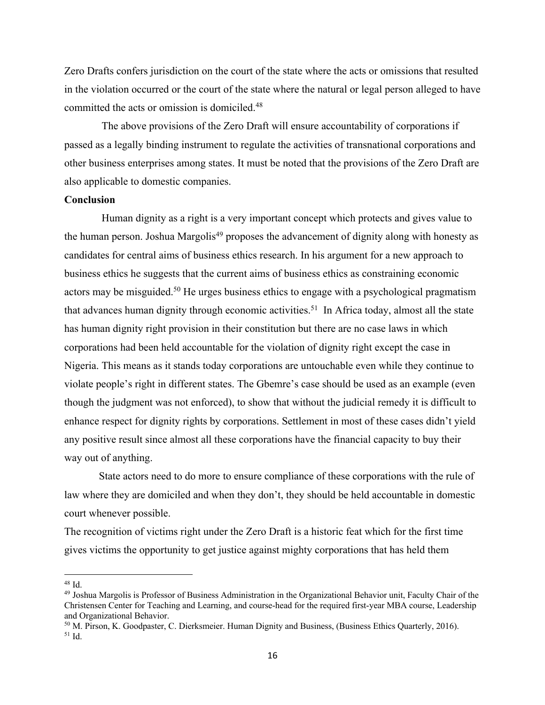Zero Drafts confers jurisdiction on the court of the state where the acts or omissions that resulted in the violation occurred or the court of the state where the natural or legal person alleged to have committed the acts or omission is domiciled.48

The above provisions of the Zero Draft will ensure accountability of corporations if passed as a legally binding instrument to regulate the activities of transnational corporations and other business enterprises among states. It must be noted that the provisions of the Zero Draft are also applicable to domestic companies.

### **Conclusion**

 Human dignity as a right is a very important concept which protects and gives value to the human person. Joshua Margolis<sup>49</sup> proposes the advancement of dignity along with honesty as candidates for central aims of business ethics research. In his argument for a new approach to business ethics he suggests that the current aims of business ethics as constraining economic actors may be misguided.<sup>50</sup> He urges business ethics to engage with a psychological pragmatism that advances human dignity through economic activities.<sup>51</sup> In Africa today, almost all the state has human dignity right provision in their constitution but there are no case laws in which corporations had been held accountable for the violation of dignity right except the case in Nigeria. This means as it stands today corporations are untouchable even while they continue to violate people's right in different states. The Gbemre's case should be used as an example (even though the judgment was not enforced), to show that without the judicial remedy it is difficult to enhance respect for dignity rights by corporations. Settlement in most of these cases didn't yield any positive result since almost all these corporations have the financial capacity to buy their way out of anything.

 State actors need to do more to ensure compliance of these corporations with the rule of law where they are domiciled and when they don't, they should be held accountable in domestic court whenever possible.

The recognition of victims right under the Zero Draft is a historic feat which for the first time gives victims the opportunity to get justice against mighty corporations that has held them

 <sup>48</sup> Id.

<sup>&</sup>lt;sup>49</sup> Joshua Margolis is Professor of Business Administration in the Organizational Behavior unit, Faculty Chair of the Christensen Center for Teaching and Learning, and course-head for the required first-year MBA course, Leadership and Organizational Behavior.

<sup>50</sup> M. Pirson, K. Goodpaster, C. Dierksmeier. Human Dignity and Business, (Business Ethics Quarterly, 2016). <sup>51</sup> Id.